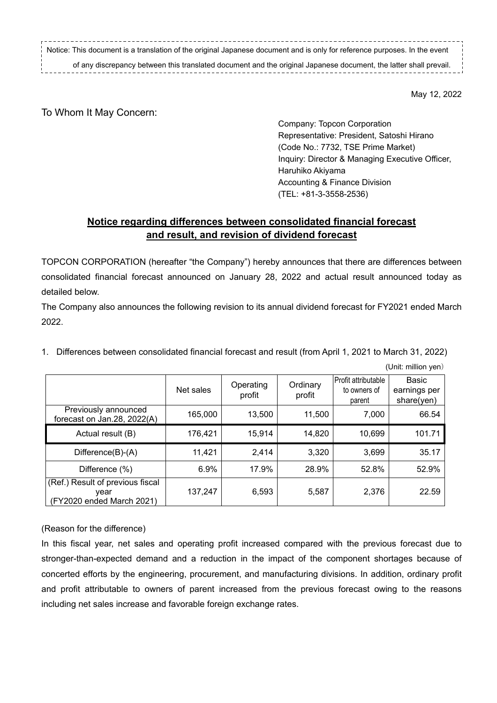Notice: This document is a translation of the original Japanese document and is only for reference purposes. In the event

of any discrepancy between this translated document and the original Japanese document, the latter shall prevail.

May 12, 2022

## To Whom It May Concern:

Company: Topcon Corporation Representative: President, Satoshi Hirano (Code No.: 7732, TSE Prime Market) Inquiry: Director & Managing Executive Officer, Haruhiko Akiyama Accounting & Finance Division (TEL: +81-3-3558-2536)

## **Notice regarding differences between consolidated financial forecast and result, and revision of dividend forecast**

TOPCON CORPORATION (hereafter "the Company") hereby announces that there are differences between consolidated financial forecast announced on January 28, 2022 and actual result announced today as detailed below.

The Company also announces the following revision to its annual dividend forecast for FY2021 ended March 2022.

1. Differences between consolidated financial forecast and result (from April 1, 2021 to March 31, 2022)

|                                                                       | Net sales | Operating<br>profit | Ordinary<br>profit | l Profit attributable<br>to owners of<br>parent | Basic<br>earnings per<br>share(yen) |
|-----------------------------------------------------------------------|-----------|---------------------|--------------------|-------------------------------------------------|-------------------------------------|
| Previously announced<br>forecast on Jan.28, 2022(A)                   | 165,000   | 13,500              | 11,500             | 7,000                                           | 66.54                               |
| Actual result (B)                                                     | 176,421   | 15,914              | 14,820             | 10,699                                          | 101.71                              |
| Difference(B)-(A)                                                     | 11,421    | 2,414               | 3,320              | 3,699                                           | 35.17                               |
| Difference (%)                                                        | 6.9%      | 17.9%               | 28.9%              | 52.8%                                           | 52.9%                               |
| (Ref.) Result of previous fiscal<br>vear<br>(FY2020 ended March 2021) | 137,247   | 6,593               | 5,587              | 2,376                                           | 22.59                               |

(Unit: million yen)

## (Reason for the difference)

In this fiscal year, net sales and operating profit increased compared with the previous forecast due to stronger-than-expected demand and a reduction in the impact of the component shortages because of concerted efforts by the engineering, procurement, and manufacturing divisions. In addition, ordinary profit and profit attributable to owners of parent increased from the previous forecast owing to the reasons including net sales increase and favorable foreign exchange rates.